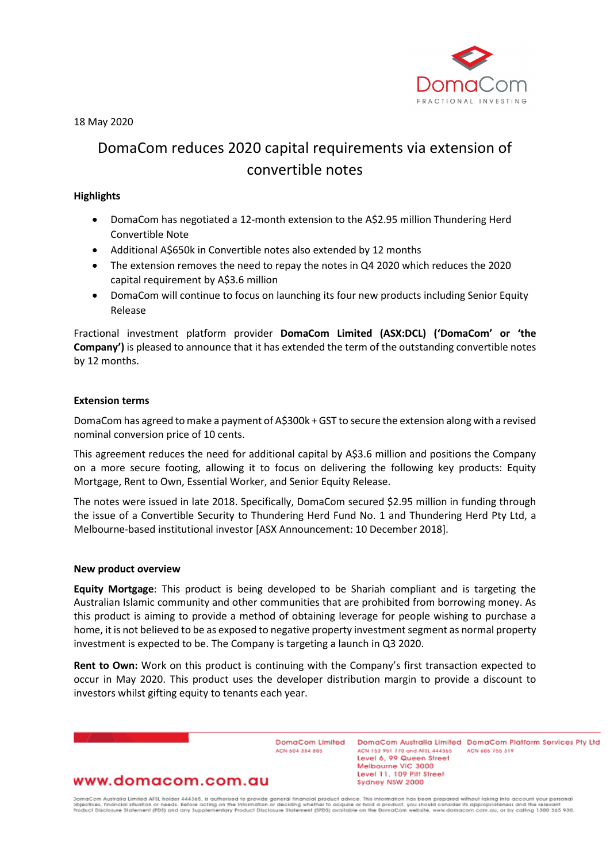

18 May 2020

# DomaCom reduces 2020 capital requirements via extension of convertible notes

## **Highlights**

- DomaCom has negotiated a 12-month extension to the A\$2.95 million Thundering Herd Convertible Note
- Additional A\$650k in Convertible notes also extended by 12 months
- The extension removes the need to repay the notes in Q4 2020 which reduces the 2020 capital requirement by A\$3.6 million
- DomaCom will continue to focus on launching its four new products including Senior Equity Release

Fractional investment platform provider **DomaCom Limited (ASX:DCL) ('DomaCom' or 'the Company')** is pleased to announce that it has extended the term of the outstanding convertible notes by 12 months.

## **Extension terms**

DomaCom has agreed to make a payment of A\$300k + GST to secure the extension along with a revised nominal conversion price of 10 cents.

This agreement reduces the need for additional capital by A\$3.6 million and positions the Company on a more secure footing, allowing it to focus on delivering the following key products: Equity Mortgage, Rent to Own, Essential Worker, and Senior Equity Release.

The notes were issued in late 2018. Specifically, DomaCom secured \$2.95 million in funding through the issue of a Convertible Security to Thundering Herd Fund No. 1 and Thundering Herd Pty Ltd, a Melbourne-based institutional investor [ASX Announcement: 10 December 2018].

### **New product overview**

**Equity Mortgage**: This product is being developed to be Shariah compliant and is targeting the Australian Islamic community and other communities that are prohibited from borrowing money. As this product is aiming to provide a method of obtaining leverage for people wishing to purchase a home, it is not believed to be as exposed to negative property investment segment as normal property investment is expected to be. The Company is targeting a launch in Q3 2020.

**Rent to Own:** Work on this product is continuing with the Company's first transaction expected to occur in May 2020. This product uses the developer distribution margin to provide a discount to investors whilst gifting equity to tenants each year.

> DomaCom Limited ACN 604 384 885

DomgCom Australia Limited DomgCom Platform Services Pty Ltd ACN 153 951 770 and AFSL 444365 ACN 606 755 319 Level 6, 99 Queen Street Melbourne VIC 3000 Level 11, 109 Pitt Street Sydney NSW 2000

# www.domacom.com.au

DomaCom Australia Limited AFSL holder 444365, is authorised to provide general financial product advice. This information has been prepared without laking into account your personal<br>objectives, financial situation or needs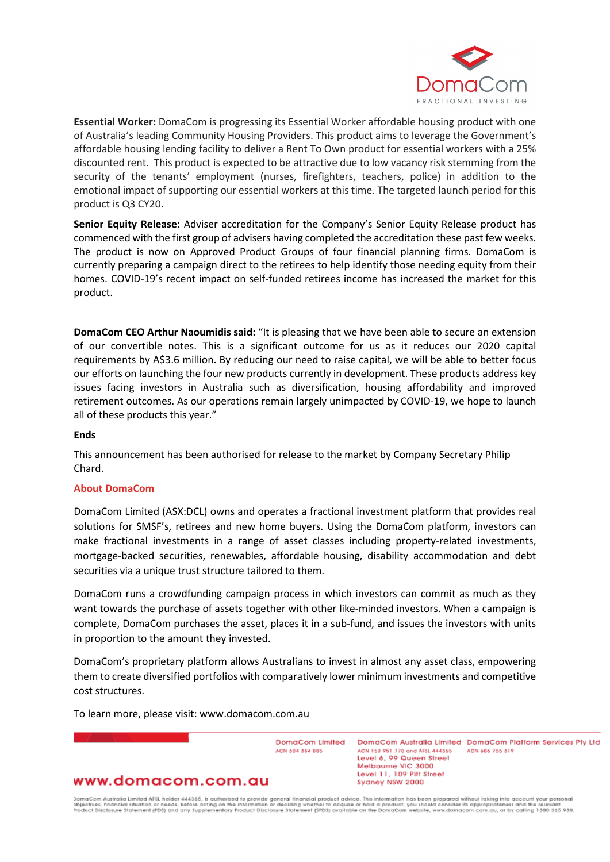

**Essential Worker:** DomaCom is progressing its Essential Worker affordable housing product with one of Australia's leading Community Housing Providers. This product aims to leverage the Government's affordable housing lending facility to deliver a Rent To Own product for essential workers with a 25% discounted rent. This product is expected to be attractive due to low vacancy risk stemming from the security of the tenants' employment (nurses, firefighters, teachers, police) in addition to the emotional impact of supporting our essential workers at this time. The targeted launch period for this product is Q3 CY20.

**Senior Equity Release:** Adviser accreditation for the Company's Senior Equity Release product has commenced with the first group of advisers having completed the accreditation these past few weeks. The product is now on Approved Product Groups of four financial planning firms. DomaCom is currently preparing a campaign direct to the retirees to help identify those needing equity from their homes. COVID-19's recent impact on self-funded retirees income has increased the market for this product.

**DomaCom CEO Arthur Naoumidis said:** "It is pleasing that we have been able to secure an extension of our convertible notes. This is a significant outcome for us as it reduces our 2020 capital requirements by A\$3.6 million. By reducing our need to raise capital, we will be able to better focus our efforts on launching the four new products currently in development. These products address key issues facing investors in Australia such as diversification, housing affordability and improved retirement outcomes. As our operations remain largely unimpacted by COVID-19, we hope to launch all of these products this year."

#### **Ends**

This announcement has been authorised for release to the market by Company Secretary Philip Chard.

#### **About DomaCom**

DomaCom Limited (ASX:DCL) owns and operates a fractional investment platform that provides real solutions for SMSF's, retirees and new home buyers. Using the DomaCom platform, investors can make fractional investments in a range of asset classes including property-related investments, mortgage-backed securities, renewables, affordable housing, disability accommodation and debt securities via a unique trust structure tailored to them.

DomaCom runs a crowdfunding campaign process in which investors can commit as much as they want towards the purchase of assets together with other like-minded investors. When a campaign is complete, DomaCom purchases the asset, places it in a sub-fund, and issues the investors with units in proportion to the amount they invested.

DomaCom's proprietary platform allows Australians to invest in almost any asset class, empowering them to create diversified portfolios with comparatively lower minimum investments and competitive cost structures.

To learn more, please visit: www.domacom.com.au

DomaCom Limited ACN 604 384 885

DomgCom Australia Limited DomgCom Platform Services Pty Ltd ACN 153 951 770 and AFSL 444365 ACN 606 755 319 Level 6, 99 Queen Street Melbourne VIC 3000 Level 11, 109 Pitt Street Sydney NSW 2000

# www.domacom.com.au

DomaCom Australia Limited AFSL holder 444365, is authorised to provide general financial product advice. This information has been prepared without laking into account your personal<br>objectives, financial situation or needs